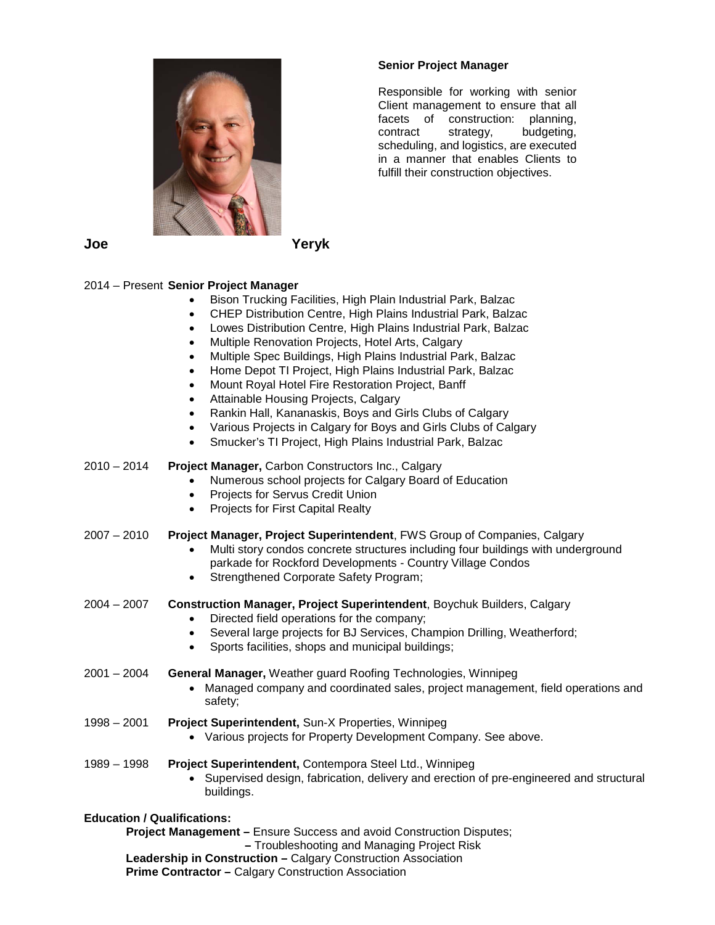

# **Senior Project Manager**

Responsible for working with senior Client management to ensure that all facets of construction: planning, contract strategy, budgeting, scheduling, and logistics, are executed in a manner that enables Clients to fulfill their construction objectives.

# 2014 – Present **Senior Project Manager**

- Bison Trucking Facilities, High Plain Industrial Park, Balzac
- CHEP Distribution Centre, High Plains Industrial Park, Balzac
- Lowes Distribution Centre, High Plains Industrial Park, Balzac
- Multiple Renovation Projects, Hotel Arts, Calgary
- Multiple Spec Buildings, High Plains Industrial Park, Balzac
- Home Depot TI Project, High Plains Industrial Park, Balzac
- Mount Royal Hotel Fire Restoration Project, Banff
- Attainable Housing Projects, Calgary
- Rankin Hall, Kananaskis, Boys and Girls Clubs of Calgary
- Various Projects in Calgary for Boys and Girls Clubs of Calgary
- Smucker's TI Project, High Plains Industrial Park, Balzac

### 2010 – 2014 **Project Manager,** Carbon Constructors Inc., Calgary

- Numerous school projects for Calgary Board of Education
- Projects for Servus Credit Union
- Projects for First Capital Realty

#### 2007 – 2010 **Project Manager, Project Superintendent**, FWS Group of Companies, Calgary

- Multi story condos concrete structures including four buildings with underground parkade for Rockford Developments - Country Village Condos
- Strengthened Corporate Safety Program;
- 2004 2007 **Construction Manager, Project Superintendent**, Boychuk Builders, Calgary
	- Directed field operations for the company;
	- Several large projects for BJ Services, Champion Drilling, Weatherford;
	- Sports facilities, shops and municipal buildings;

2001 – 2004 **General Manager,** Weather guard Roofing Technologies, Winnipeg

- Managed company and coordinated sales, project management, field operations and safety;
- 1998 2001 **Project Superintendent,** Sun-X Properties, Winnipeg
	- Various projects for Property Development Company. See above.
- 1989 1998 **Project Superintendent,** Contempora Steel Ltd., Winnipeg
	- Supervised design, fabrication, delivery and erection of pre-engineered and structural buildings.

## **Education / Qualifications:**

**Project Management –** Ensure Success and avoid Construction Disputes;

**–** Troubleshooting and Managing Project Risk

**Leadership in Construction –** Calgary Construction Association

**Prime Contractor –** Calgary Construction Association